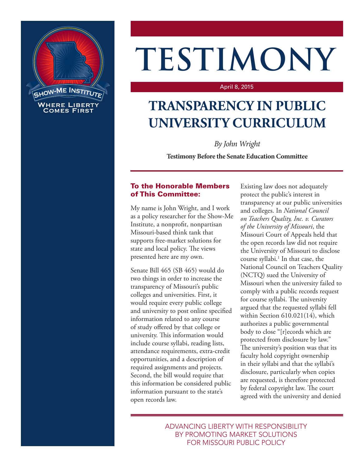

# **TESTIMONY**

#### April 8, 2015

# **TRANSPARENCY IN PUBLIC UNIVERSITY CURRICULUM**

*By John Wright*

**Testimony Before the Senate Education Committee**

## To the Honorable Members of This Committee:

My name is John Wright, and I work as a policy researcher for the Show-Me Institute, a nonprofit, nonpartisan Missouri-based think tank that supports free-market solutions for state and local policy. The views presented here are my own.

Senate Bill 465 (SB 465) would do two things in order to increase the transparency of Missouri's public colleges and universities. First, it would require every public college and university to post online specified information related to any course of study offered by that college or university. This information would include course syllabi, reading lists, attendance requirements, extra-credit opportunities, and a description of required assignments and projects. Second, the bill would require that this information be considered public information pursuant to the state's open records law.

Existing law does not adequately protect the public's interest in transparency at our public universities and colleges. In *National Council on Teachers Quality, Inc. v. Curators of the University of Missouri*, the Missouri Court of Appeals held that the open records law did not require the University of Missouri to disclose course syllabi.<sup>1</sup> In that case, the National Council on Teachers Quality (NCTQ) sued the University of Missouri when the university failed to comply with a public records request for course syllabi. The university argued that the requested syllabi fell within Section 610.021(14), which authorizes a public governmental body to close "[r]ecords which are protected from disclosure by law." The university's position was that its faculty hold copyright ownership in their syllabi and that the syllabi's disclosure, particularly when copies are requested, is therefore protected by federal copyright law. The court agreed with the university and denied

ADVANCING LIBERTY WITH RESPONSIBILITY BY PROMOTING MARKET SOLUTIONS FOR MISSOURI PUBLIC POLICY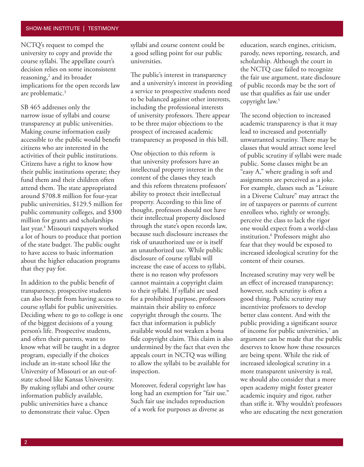#### SHOW-ME INSTITUTE | TESTIMONY

NCTQ's request to compel the university to copy and provide the course syllabi. The appellate court's decision relies on some inconsistent reasoning,<sup>2</sup> and its broader implications for the open records law are problematic.<sup>3</sup>

SB 465 addresses only the narrow issue of syllabi and course transparency at public universities. Making course information easily accessible to the public would benefit citizens who are interested in the activities of their public institutions. Citizens have a right to know how their public institutions operate; they fund them and their children often attend them. The state appropriated around \$708.8 million for four-year public universities, \$129.5 million for public community colleges, and \$300 million for grants and scholarships last year.<sup>4</sup> Missouri taxpayers worked a lot of hours to produce that portion of the state budget. The public ought to have access to basic information about the higher education programs that they pay for.

In addition to the public benefit of transparency, prospective students can also benefit from having access to course syllabi for public universities. Deciding where to go to college is one of the biggest decisions of a young person's life. Prospective students, and often their parents, want to know what will be taught in a degree program, especially if the choices include an in-state school like the University of Missouri or an out-ofstate school like Kansas University. By making syllabi and other course information publicly available, public universities have a chance to demonstrate their value. Open

syllabi and course content could be a good selling point for our public universities.

The public's interest in transparency and a university's interest in providing a service to prospective students need to be balanced against other interests, including the professional interests of university professors. There appear to be three major objections to the prospect of increased academic transparency as proposed in this bill.

One objection to this reform is that university professors have an intellectual property interest in the content of the classes they teach and this reform threatens professors' ability to protect their intellectual property. According to this line of thought, professors should not have their intellectual property disclosed through the state's open records law, because such disclosure increases the risk of unauthorized use or is itself an unauthorized use. While public disclosure of course syllabi will increase the ease of access to syllabi, there is no reason why professors cannot maintain a copyright claim to their syllabi. If syllabi are used for a prohibited purpose, professors maintain their ability to enforce copyright through the courts. The fact that information is publicly available would not weaken a bona fide copyright claim. This claim is also undermined by the fact that even the appeals court in NCTQ was willing to allow the syllabi to be available for inspection.

Moreover, federal copyright law has long had an exemption for "fair use." Such fair use includes reproduction of a work for purposes as diverse as

education, search engines, criticism, parody, news reporting, research, and scholarship. Although the court in the NCTQ case failed to recognize the fair use argument, state disclosure of public records may be the sort of use that qualifies as fair use under copyright law.5

The second objection to increased academic transparency is that it may lead to increased and potentially unwarranted scrutiny. There may be classes that would attract some level of public scrutiny if syllabi were made public. Some classes might be an "easy A," where grading is soft and assignments are perceived as a joke. For example, classes such as "Leisure in a Diverse Culture" may attract the ire of taxpayers or parents of current enrollees who, rightly or wrongly, perceive the class to lack the rigor one would expect from a world-class institution.6 Professors might also fear that they would be exposed to increased ideological scrutiny for the content of their courses.

Increased scrutiny may very well be an effect of increased transparency; however, such scrutiny is often a good thing. Public scrutiny may incentivize professors to develop better class content. And with the public providing a significant source of income for public universities,<sup>7</sup> an argument can be made that the public deserves to know how these resources are being spent. While the risk of increased ideological scrutiny in a more transparent university is real, we should also consider that a more open academy might foster greater academic inquiry and rigor, rather than stifle it. Why wouldn't professors who are educating the next generation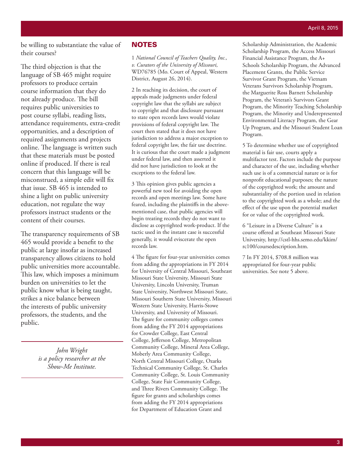be willing to substantiate the value of their courses?

The third objection is that the language of SB 465 might require professors to produce certain course information that they do not already produce. The bill requires public universities to post course syllabi, reading lists, attendance requirements, extra-credit opportunities, and a description of required assignments and projects online. The language is written such that these materials must be posted online if produced. If there is real concern that this language will be misconstrued, a simple edit will fix that issue. SB 465 is intended to shine a light on public university education, not regulate the way professors instruct students or the content of their courses.

The transparency requirements of SB 465 would provide a benefit to the public at large insofar as increased transparency allows citizens to hold public universities more accountable. This law, which imposes a minimum burden on universities to let the public know what is being taught, strikes a nice balance between the interests of public university professors, the students, and the public.

> *John Wright is a policy researcher at the Show-Me Institute.*

### **NOTES**

1 *National Council of Teachers Quality, Inc., v. Curators of the University of Missouri,* WD76785 (Mo. Court of Appeal, Western District, August 26, 2014).

2 In reaching its decision, the court of appeals made judgments under federal copyright law that the syllabi are subject to copyright and that disclosure pursuant to state open records laws would violate provisions of federal copyright law. The court then stated that it does not have jurisdiction to address a major exception to federal copyright law, the fair use doctrine. It is curious that the court made a judgment under federal law, and then asserted it did not have jurisdiction to look at the exceptions to the federal law.

3 This opinion gives public agencies a powerful new tool for avoiding the open records and open meetings law. Some have feared, including the plaintiffs in the abovementioned case, that public agencies will begin treating records they do not want to disclose as copyrighted work-product. If the tactic used in the instant case is successful generally, it would eviscerate the open records law.

4 The figure for four-year universities comes from adding the appropriations in FY 2014 for University of Central Missouri, Southeast Missouri State University, Missouri State University, Lincoln University, Truman State University, Northwest Missouri State, Missouri Southern State University, Missouri Western State University, Harris-Stowe University, and University of Missouri. The figure for community colleges comes from adding the FY 2014 appropriations for Crowder College, East Central College, Jefferson College, Metropolitan Community College, Mineral Area College, Moberly Area Community College, North Central Missouri College, Ozarks Technical Community College, St. Charles Community College, St. Louis Community College, State Fair Community College, and Three Rivers Community College. The figure for grants and scholarships comes from adding the FY 2014 appropriations for Department of Education Grant and

Scholarship Administration, the Academic Scholarship Program, the Access Missouri Financial Assistance Program, the A+ Schools Scholarship Program, the Advanced Placement Grants, the Public Service Survivor Grant Program, the Vietnam Veterans Survivors Scholarship Program, the Marguerite Ross Barnett Scholarship Program, the Veteran's Survivors Grant Program, the Minority Teaching Scholarship Program, the Minority and Underepresented Environmental Literacy Program, the Gear Up Program, and the Missouri Student Loan Program.

5 To determine whether use of copyrighted material is fair use, courts apply a multifactor test. Factors include the purpose and character of the use, including whether such use is of a commercial nature or is for nonprofit educational purposes; the nature of the copyrighted work; the amount and substantiality of the portion used in relation to the copyrighted work as a whole; and the effect of the use upon the potential market for or value of the copyrighted work.

6 "Leisure in a Diverse Culture" is a course offered at Southeast Missouri State University, http://cstl-hhs.semo.edu/kkim/ rc100/coursedescription.htm.

7 In FY 2014, \$708.8 million was appropriated for four-year public universities. See note 5 above.